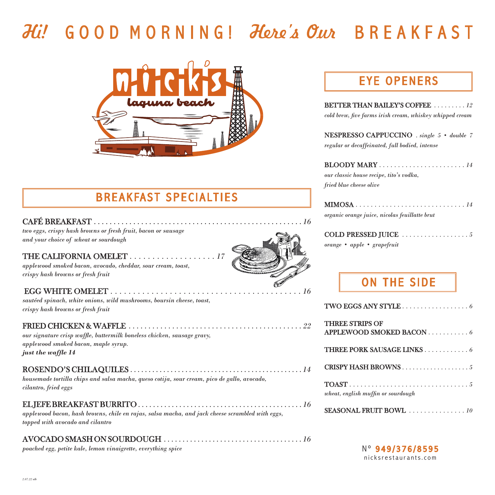# Hi!G O O D M O R N I N G !Here's OurB R E A K F A S T



# BREAKFAST SPECIALTIES

#### CAFÉ BREAKFAST . . . . . . . . . . . . . . . . . . . . . . . . . . . . . . . . . . . . . . . . . . . . . . . . . . . . . *16*

*two eggs, crispy hash browns or fresh fruit, bacon or sausage and your choice of wheat or sourdough*

#### THE CALIFORNIA OMELET *. . . . . . . . . . . . . . . . . . . 17*

*applewood smoked bacon, avocado, cheddar, sour cream, toast, crispy hash browns or fresh fruit*

#### EGG WHITE OMELET *. . . . . . . . . . . . . . . . . . . . . . . . . . . . . . . . . . . . . . . . . . 16*

*sautéed spinach, white onions, wild mushrooms, boursin cheese, toast, crispy hash browns or fresh fruit*

#### FRIED CHICKEN & WAFFLE *. . . . . . . . . . . . . . . . . . . . . . . . . . . . . . . . . . . . . . . . . . . . 22*

*our signature crisp waffle, buttermilk boneless chicken, sausage gravy, applewood smoked bacon, maple syrup. just the waffle 14*

#### ROSENDO'S CHILAQUILES *. . . . . . . . . . . . . . . . . . . . . . . . . . . . . . . . . . . . . . . . . . . . . . . 14*

*housemade tortilla chips and salsa macha, queso cotija, sour cream, pico de gallo, avocado, cilantro, fried eggs*

#### EL JEFE BREAKFAST BURRITO *. . . . . . . . . . . . . . . . . . . . . . . . . . . . . . . . . . . . . . . . . . . . 16*

*applewood bacon, hash browns, chile en rajas, salsa macha, and jack cheese scrambled with eggs, topped with avocado and cilantro*

### AVOCADO SMASH ON SOURDOUGH *. . . . . . . . . . . . . . . . . . . . . . . . . . . . . . . . . . . . . 16*

*poached egg, petite kale, lemon vinaigrette, everything spice*

# EYE OPENERS

| <b>BETTER THAN BAILEY'S COFFEE</b> 12                    |
|----------------------------------------------------------|
| cold brew, five farms irish cream, whiskey whipped cream |

NESPRESSO CAPPUCCINO *. single 5 • double 7 regular or decaffeinated, full bodied, intense*

| our classic house recipe, tito's vodka, |
|-----------------------------------------|
| fried blue cheese olive                 |

| $\textbf{MIMOSA} \dots \dots \dots \dots \dots \dots \dots \dots \dots \dots \, 14$ |  |  |  |  |  |  |  |  |  |  |  |  |
|-------------------------------------------------------------------------------------|--|--|--|--|--|--|--|--|--|--|--|--|
| organic orange juice, nicolas feuillatte brut                                       |  |  |  |  |  |  |  |  |  |  |  |  |

|  |  | COLD PRESSED JUICE $\ldots \ldots \ldots \ldots \ldots \ldots$ |  |  |  |  |  |  |  |  |  |
|--|--|----------------------------------------------------------------|--|--|--|--|--|--|--|--|--|
|  |  | orange • apple • grapefruit                                    |  |  |  |  |  |  |  |  |  |

# ON THE SIDE

| TWO EGGS ANY STYLE 6               |
|------------------------------------|
| <b>THREE STRIPS OF</b>             |
| APPLEWOOD SMOKED BACON 6           |
| <b>THREE PORK SAUSAGE LINKS</b> 6  |
| CRISPY HASH BROWNS 5               |
| wheat, english muffin or sourdough |

#### SEASONAL FRUIT BOWL *. . . . . . . . . . . . . . . 10*

N° 949/376/8595 nicksrestaurants.com